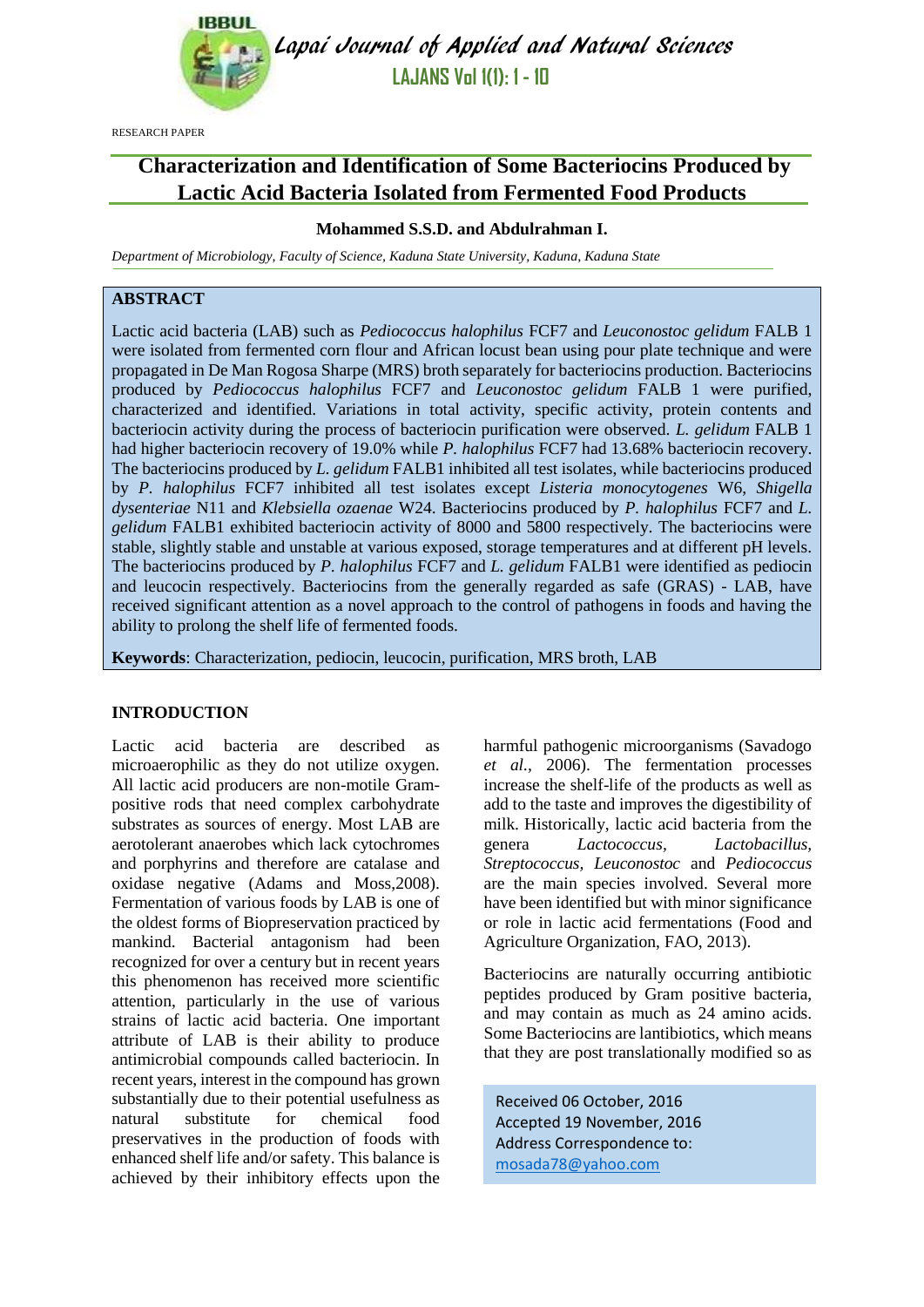

Lapai Journal of Applied and Natural Sciences **LAJANS Vol 1(1): 1 - 10**

RESEARCH PAPER

# **Characterization and Identification of Some Bacteriocins Produced by Lactic Acid Bacteria Isolated from Fermented Food Products**

# **Mohammed S.S.D. and Abdulrahman I.**

*Department of Microbiology, Faculty of Science, Kaduna State University, Kaduna, Kaduna State* 

## **ABSTRACT**

Lactic acid bacteria (LAB) such as *Pediococcus halophilus* FCF7 and *Leuconostoc gelidum* FALB 1 were isolated from fermented corn flour and African locust bean using pour plate technique and were propagated in De Man Rogosa Sharpe (MRS) broth separately for bacteriocins production. Bacteriocins produced by *Pediococcus halophilus* FCF7 and *Leuconostoc gelidum* FALB 1 were purified, characterized and identified. Variations in total activity, specific activity, protein contents and bacteriocin activity during the process of bacteriocin purification were observed. *L. gelidum* FALB 1 had higher bacteriocin recovery of 19.0% while *P. halophilus* FCF7 had 13.68% bacteriocin recovery. The bacteriocins produced by *L. gelidum* FALB1 inhibited all test isolates, while bacteriocins produced by *P. halophilus* FCF7 inhibited all test isolates except *Listeria monocytogenes* W6, *Shigella dysenteriae* N11 and *Klebsiella ozaenae* W24. Bacteriocins produced by *P. halophilus* FCF7 and *L. gelidum* FALB1 exhibited bacteriocin activity of 8000 and 5800 respectively. The bacteriocins were stable, slightly stable and unstable at various exposed, storage temperatures and at different pH levels. The bacteriocins produced by *P. halophilus* FCF7 and *L. gelidum* FALB1 were identified as pediocin and leucocin respectively. Bacteriocins from the generally regarded as safe (GRAS) - LAB, have received significant attention as a novel approach to the control of pathogens in foods and having the ability to prolong the shelf life of fermented foods.

**Keywords**: Characterization, pediocin, leucocin, purification, MRS broth, LAB

## **INTRODUCTION**

Lactic acid bacteria are described as microaerophilic as they do not utilize oxygen. All lactic acid producers are non-motile Grampositive rods that need complex carbohydrate substrates as sources of energy. Most LAB are aerotolerant anaerobes which lack cytochromes and porphyrins and therefore are catalase and oxidase negative (Adams and Moss,2008). Fermentation of various foods by LAB is one of the oldest forms of Biopreservation practiced by mankind. Bacterial antagonism had been recognized for over a century but in recent years this phenomenon has received more scientific attention, particularly in the use of various strains of lactic acid bacteria. One important attribute of LAB is their ability to produce antimicrobial compounds called bacteriocin. In recent years, interest in the compound has grown substantially due to their potential usefulness as natural substitute for chemical food preservatives in the production of foods with enhanced shelf life and/or safety. This balance is achieved by their inhibitory effects upon the harmful pathogenic microorganisms (Savadogo *et al.,* 2006). The fermentation processes increase the shelf-life of the products as well as add to the taste and improves the digestibility of milk. Historically, lactic acid bacteria from the genera *Lactococcus, Lactobacillus, Streptococcus, Leuconostoc* and *Pediococcus* are the main species involved. Several more have been identified but with minor significance or role in lactic acid fermentations (Food and Agriculture Organization, FAO, 2013).

Bacteriocins are naturally occurring antibiotic peptides produced by Gram positive bacteria, and may contain as much as 24 amino acids. Some Bacteriocins are lantibiotics, which means that they are post translationally modified so as

Received 06 October, 2016 Accepted 19 November, 2016 Address Correspondence to: [mosada78@yahoo.com](mailto:mosada78@yahoo.com)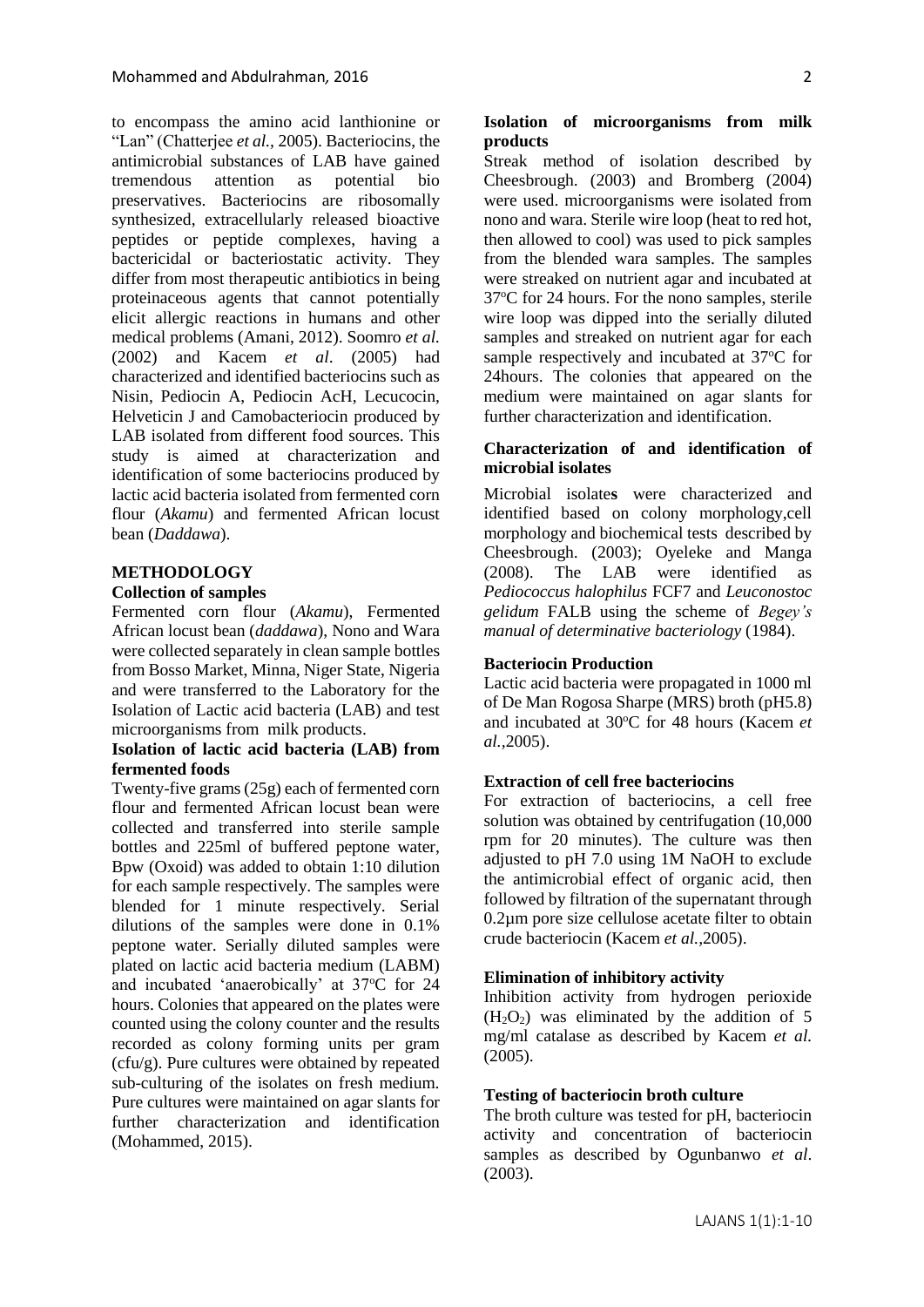to encompass the amino acid lanthionine or "Lan" (Chatterjee *et al.,* 2005). Bacteriocins, the antimicrobial substances of LAB have gained tremendous attention as potential bio preservatives. Bacteriocins are ribosomally synthesized, extracellularly released bioactive peptides or peptide complexes, having a bactericidal or bacteriostatic activity. They differ from most therapeutic antibiotics in being proteinaceous agents that cannot potentially elicit allergic reactions in humans and other medical problems (Amani, 2012). Soomro *et al.* (2002) and Kacem *et al*. (2005) had characterized and identified bacteriocins such as Nisin, Pediocin A, Pediocin AcH, Lecucocin, Helveticin J and Camobacteriocin produced by LAB isolated from different food sources. This study is aimed at characterization and identification of some bacteriocins produced by lactic acid bacteria isolated from fermented corn flour (*Akamu*) and fermented African locust bean (*Daddawa*).

## **METHODOLOGY**

#### **Collection of samples**

Fermented corn flour (*Akamu*), Fermented African locust bean (*daddawa*), Nono and Wara were collected separately in clean sample bottles from Bosso Market, Minna, Niger State, Nigeria and were transferred to the Laboratory for the Isolation of Lactic acid bacteria (LAB) and test microorganisms from milk products.

#### **Isolation of lactic acid bacteria (LAB) from fermented foods**

Twenty-five grams (25g) each of fermented corn flour and fermented African locust bean were collected and transferred into sterile sample bottles and 225ml of buffered peptone water, Bpw (Oxoid) was added to obtain 1:10 dilution for each sample respectively. The samples were blended for 1 minute respectively. Serial dilutions of the samples were done in 0.1% peptone water. Serially diluted samples were plated on lactic acid bacteria medium (LABM) and incubated 'anaerobically' at 37°C for 24 hours. Colonies that appeared on the plates were counted using the colony counter and the results recorded as colony forming units per gram (cfu/g). Pure cultures were obtained by repeated sub-culturing of the isolates on fresh medium. Pure cultures were maintained on agar slants for further characterization and identification (Mohammed, 2015).

## **Isolation of microorganisms from milk products**

Streak method of isolation described by Cheesbrough. (2003) and Bromberg (2004) were used. microorganisms were isolated from nono and wara. Sterile wire loop (heat to red hot, then allowed to cool) was used to pick samples from the blended wara samples. The samples were streaked on nutrient agar and incubated at 37<sup>o</sup>C for 24 hours. For the nono samples, sterile wire loop was dipped into the serially diluted samples and streaked on nutrient agar for each sample respectively and incubated at 37<sup>o</sup>C for 24hours. The colonies that appeared on the medium were maintained on agar slants for further characterization and identification.

## **Characterization of and identification of microbial isolates**

Microbial isolate**s** were characterized and identified based on colony morphology,cell morphology and biochemical tests described by Cheesbrough. (2003); Oyeleke and Manga (2008). The LAB were identified as *Pediococcus halophilus* FCF7 and *Leuconostoc gelidum* FALB using the scheme of *Begey's manual of determinative bacteriology* (1984).

#### **Bacteriocin Production**

Lactic acid bacteria were propagated in 1000 ml of De Man Rogosa Sharpe (MRS) broth (pH5.8) and incubated at 30°C for 48 hours (Kacem *et al.,*2005).

#### **Extraction of cell free bacteriocins**

For extraction of bacteriocins, a cell free solution was obtained by centrifugation (10,000 rpm for 20 minutes). The culture was then adjusted to pH 7.0 using 1M NaOH to exclude the antimicrobial effect of organic acid, then followed by filtration of the supernatant through 0.2µm pore size cellulose acetate filter to obtain crude bacteriocin (Kacem *et al.,*2005).

### **Elimination of inhibitory activity**

Inhibition activity from hydrogen perioxide  $(H<sub>2</sub>O<sub>2</sub>)$  was eliminated by the addition of 5 mg/ml catalase as described by Kacem *et al.*  (2005).

#### **Testing of bacteriocin broth culture**

The broth culture was tested for pH, bacteriocin activity and concentration of bacteriocin samples as described by Ogunbanwo *et al*. (2003).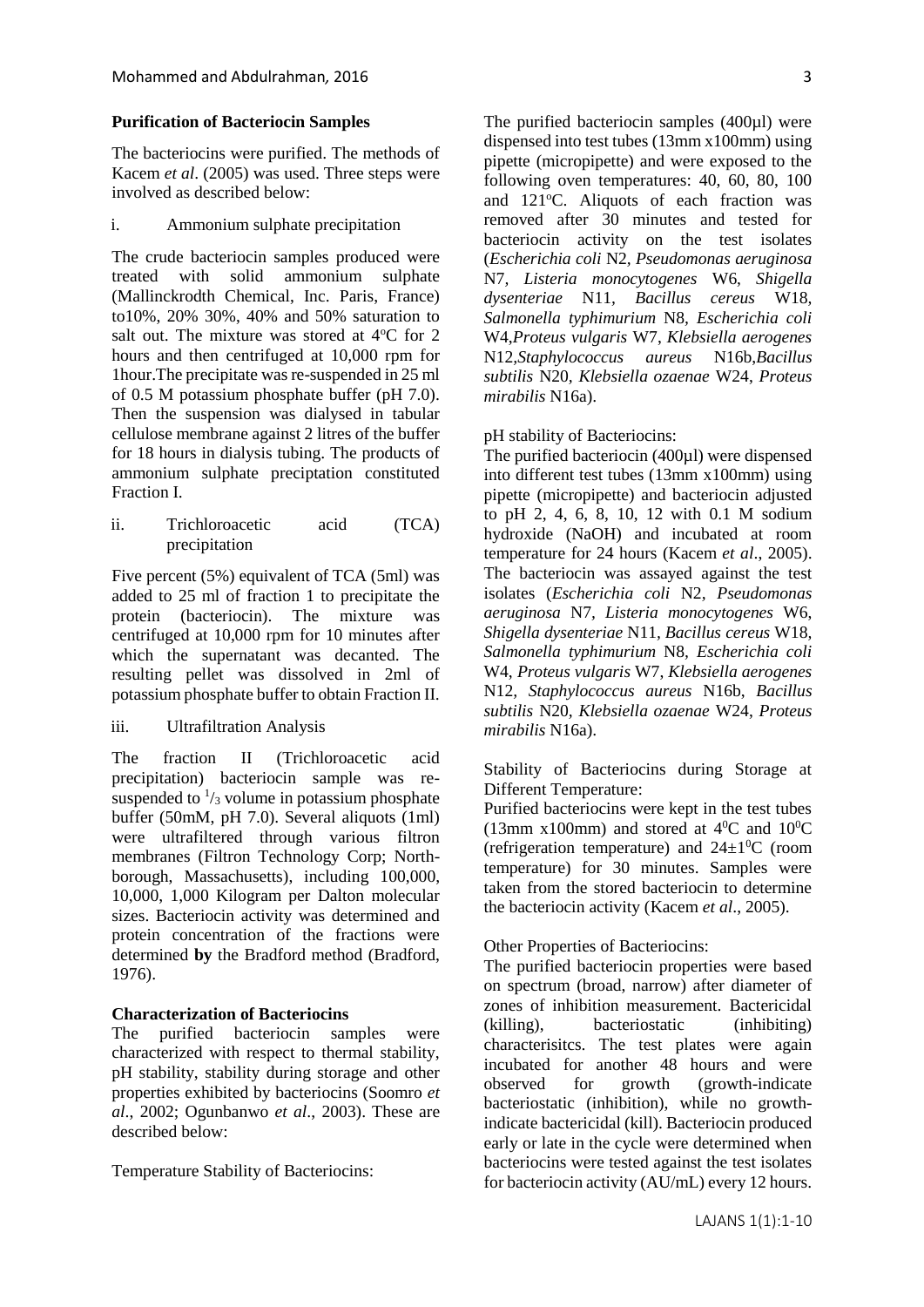## **Purification of Bacteriocin Samples**

The bacteriocins were purified. The methods of Kacem *et al*. (2005) was used. Three steps were involved as described below:

i. Ammonium sulphate precipitation

The crude bacteriocin samples produced were treated with solid ammonium sulphate (Mallinckrodth Chemical, Inc. Paris, France) to10%, 20% 30%, 40% and 50% saturation to salt out. The mixture was stored at 4°C for 2 hours and then centrifuged at 10,000 rpm for 1hour.The precipitate was re-suspended in 25 ml of 0.5 M potassium phosphate buffer (pH 7.0). Then the suspension was dialysed in tabular cellulose membrane against 2 litres of the buffer for 18 hours in dialysis tubing. The products of ammonium sulphate preciptation constituted Fraction I.

ii. Trichloroacetic acid (TCA) precipitation

Five percent (5%) equivalent of TCA (5ml) was added to 25 ml of fraction 1 to precipitate the protein (bacteriocin). The mixture was centrifuged at 10,000 rpm for 10 minutes after which the supernatant was decanted. The resulting pellet was dissolved in 2ml of potassium phosphate buffer to obtain Fraction II.

iii. Ultrafiltration Analysis

The fraction II (Trichloroacetic acid precipitation) bacteriocin sample was resuspended to  $\frac{1}{3}$  volume in potassium phosphate buffer (50mM, pH 7.0). Several aliquots (1ml) were ultrafiltered through various filtron membranes (Filtron Technology Corp; Northborough, Massachusetts), including 100,000, 10,000, 1,000 Kilogram per Dalton molecular sizes. Bacteriocin activity was determined and protein concentration of the fractions were determined **by** the Bradford method (Bradford, 1976).

## **Characterization of Bacteriocins**

The purified bacteriocin samples were characterized with respect to thermal stability, pH stability, stability during storage and other properties exhibited by bacteriocins (Soomro *et al*., 2002; Ogunbanwo *et al*., 2003). These are described below:

Temperature Stability of Bacteriocins:

The purified bacteriocin samples (400µl) were dispensed into test tubes (13mm x100mm) using pipette (micropipette) and were exposed to the following oven temperatures: 40, 60, 80, 100 and  $121^{\circ}$ C. Aliquots of each fraction was removed after 30 minutes and tested for bacteriocin activity on the test isolates (*Escherichia coli* N2*, Pseudomonas aeruginosa*  N7*, Listeria monocytogenes* W6, *Shigella dysenteriae* N11*, Bacillus cereus* W18*, Salmonella typhimurium* N8*, Escherichia coli*  W4,*Proteus vulgaris* W7, *Klebsiella aerogenes*  N12*,Staphylococcus aureus* N16b,*Bacillus subtilis* N20*, Klebsiella ozaenae* W24, *Proteus mirabilis* N16a).

#### pH stability of Bacteriocins:

The purified bacteriocin (400µl) were dispensed into different test tubes (13mm x100mm) using pipette (micropipette) and bacteriocin adjusted to pH 2, 4, 6, 8, 10, 12 with 0.1 M sodium hydroxide (NaOH) and incubated at room temperature for 24 hours (Kacem *et al*., 2005). The bacteriocin was assayed against the test isolates (*Escherichia coli* N2*, Pseudomonas aeruginosa* N7*, Listeria monocytogenes* W6, *Shigella dysenteriae* N11*, Bacillus cereus* W18*, Salmonella typhimurium* N8*, Escherichia coli*  W4, *Proteus vulgaris* W7, *Klebsiella aerogenes*  N12*, Staphylococcus aureus* N16b, *Bacillus subtilis* N20*, Klebsiella ozaenae* W24, *Proteus mirabilis* N16a).

Stability of Bacteriocins during Storage at Different Temperature:

Purified bacteriocins were kept in the test tubes (13mm x100mm) and stored at  $4^{\circ}$ C and  $10^{\circ}$ C (refrigeration temperature) and  $24\pm10^{\circ}$  (room temperature) for 30 minutes. Samples were taken from the stored bacteriocin to determine the bacteriocin activity (Kacem *et al*., 2005).

Other Properties of Bacteriocins:

The purified bacteriocin properties were based on spectrum (broad, narrow) after diameter of zones of inhibition measurement. Bactericidal (killing), bacteriostatic (inhibiting) characterisitcs. The test plates were again incubated for another 48 hours and were observed for growth (growth-indicate bacteriostatic (inhibition), while no growthindicate bactericidal (kill). Bacteriocin produced early or late in the cycle were determined when bacteriocins were tested against the test isolates for bacteriocin activity (AU/mL) every 12 hours.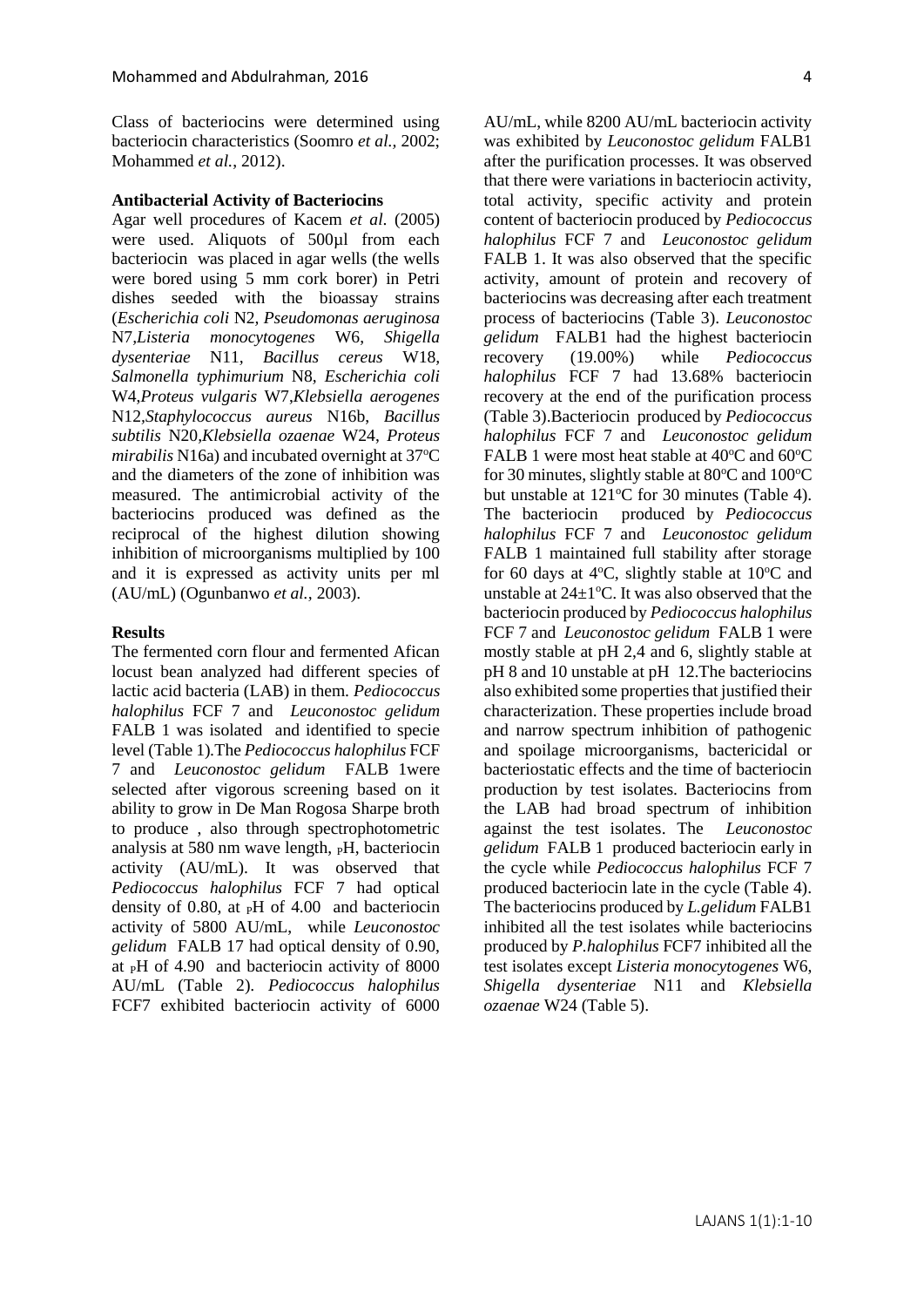Class of bacteriocins were determined using bacteriocin characteristics (Soomro *et al.,* 2002; Mohammed *et al.*, 2012).

#### **Antibacterial Activity of Bacteriocins**

Agar well procedures of Kacem *et al*. (2005) were used. Aliquots of 500µl from each bacteriocin was placed in agar wells (the wells were bored using 5 mm cork borer) in Petri dishes seeded with the bioassay strains (*Escherichia coli* N2*, Pseudomonas aeruginosa*  N7*,Listeria monocytogenes* W6, *Shigella dysenteriae* N11*, Bacillus cereus* W18*, Salmonella typhimurium* N8*, Escherichia coli*  W4,*Proteus vulgaris* W7,*Klebsiella aerogenes*  N12*,Staphylococcus aureus* N16b, *Bacillus subtilis* N20*,Klebsiella ozaenae* W24, *Proteus mirabilis* N16a) and incubated overnight at 37°C and the diameters of the zone of inhibition was measured. The antimicrobial activity of the bacteriocins produced was defined as the reciprocal of the highest dilution showing inhibition of microorganisms multiplied by 100 and it is expressed as activity units per ml (AU/mL) (Ogunbanwo *et al.,* 2003).

#### **Results**

The fermented corn flour and fermented Afican locust bean analyzed had different species of lactic acid bacteria (LAB) in them. *Pediococcus halophilus* FCF 7 and *Leuconostoc gelidum*  FALB 1 was isolated and identified to specie level (Table 1)*.*The *Pediococcus halophilus* FCF 7 and *Leuconostoc gelidum* FALB 1were selected after vigorous screening based on it ability to grow in De Man Rogosa Sharpe broth to produce , also through spectrophotometric analysis at 580 nm wave length,  $\,_{\rm P}$ H, bacteriocin activity (AU/mL). It was observed that *Pediococcus halophilus* FCF 7 had optical density of 0.80, at <sub>P</sub>H of 4.00 and bacteriocin activity of 5800 AU/mL, while *Leuconostoc gelidum* FALB 17 had optical density of 0.90, at  $pH$  of 4.90 and bacteriocin activity of 8000 AU/mL (Table 2)*. Pediococcus halophilus* FCF7 exhibited bacteriocin activity of 6000 AU/mL, while 8200 AU/mL bacteriocin activity was exhibited by *Leuconostoc gelidum* FALB1 after the purification processes. It was observed that there were variations in bacteriocin activity, total activity, specific activity and protein content of bacteriocin produced by *Pediococcus halophilus* FCF 7 and *Leuconostoc gelidum*  FALB 1. It was also observed that the specific activity, amount of protein and recovery of bacteriocins was decreasing after each treatment process of bacteriocins (Table 3). *Leuconostoc gelidum* FALB1 had the highest bacteriocin recovery (19.00%) while *Pediococcus halophilus* FCF 7 had 13.68% bacteriocin recovery at the end of the purification process (Table 3).Bacteriocin produced by *Pediococcus halophilus* FCF 7 and *Leuconostoc gelidum*  FALB 1 were most heat stable at  $40^{\circ}$ C and  $60^{\circ}$ C for 30 minutes, slightly stable at  $80^{\circ}$ C and  $100^{\circ}$ C but unstable at  $121^{\circ}$ C for 30 minutes (Table 4). The bacteriocin produced by *Pediococcus halophilus* FCF 7 and *Leuconostoc gelidum*  FALB 1 maintained full stability after storage for 60 days at 4 $\degree$ C, slightly stable at 10 $\degree$ C and unstable at  $24+1$ <sup>o</sup>C. It was also observed that the bacteriocin produced by *Pediococcus halophilus*  FCF 7 and *Leuconostoc gelidum* FALB 1 were mostly stable at pH 2,4 and 6, slightly stable at pH 8 and 10 unstable at pH 12.The bacteriocins also exhibited some properties that justified their characterization. These properties include broad and narrow spectrum inhibition of pathogenic and spoilage microorganisms, bactericidal or bacteriostatic effects and the time of bacteriocin production by test isolates. Bacteriocins from the LAB had broad spectrum of inhibition against the test isolates. The *Leuconostoc gelidum* FALB 1 produced bacteriocin early in the cycle while *Pediococcus halophilus* FCF 7 produced bacteriocin late in the cycle (Table 4). The bacteriocins produced by *L.gelidum* FALB1 inhibited all the test isolates while bacteriocins produced by *P.halophilus* FCF7 inhibited all the test isolates except *Listeria monocytogenes* W6, *Shigella dysenteriae* N11 and *Klebsiella ozaenae* W24 (Table 5).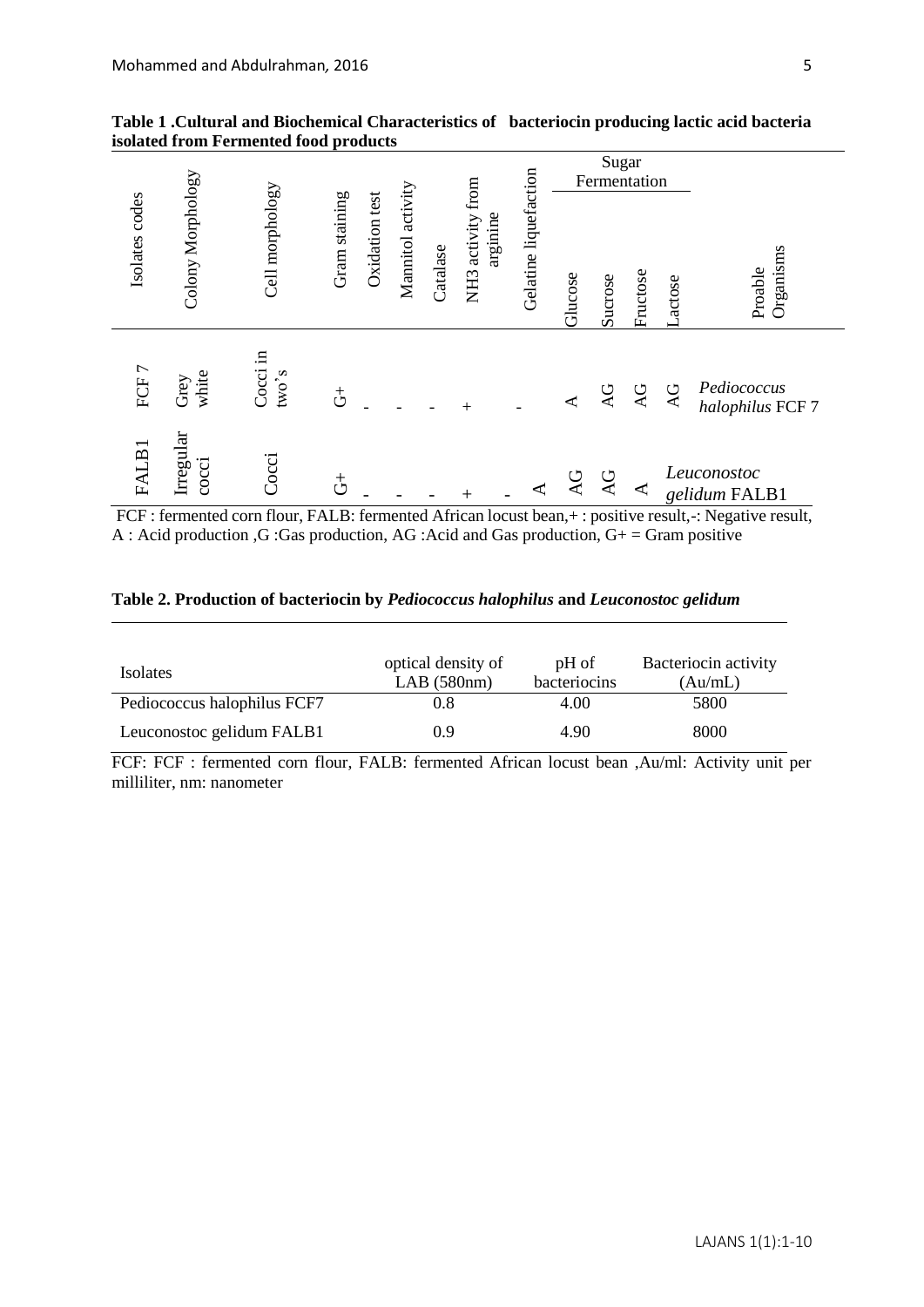|                                                                                                                                                                                                                                                                                                  |                           |                   |               |                |                   |          |                                  |                       | Sugar<br>Fermentation |           |          |               |                                                                                                |
|--------------------------------------------------------------------------------------------------------------------------------------------------------------------------------------------------------------------------------------------------------------------------------------------------|---------------------------|-------------------|---------------|----------------|-------------------|----------|----------------------------------|-----------------------|-----------------------|-----------|----------|---------------|------------------------------------------------------------------------------------------------|
| Isolates codes                                                                                                                                                                                                                                                                                   | Colony Morphology         | Cell morphology   | Gram staining | Oxidation test | Mannitol activity | Catalase | NH3 activity from<br>arginine    | Gelatine liquefaction | Glucose               | Sucrose   | Fructose | <b>Actose</b> | Organisms<br>Proable                                                                           |
| FCF7                                                                                                                                                                                                                                                                                             | white<br>Grey             | Cocci in<br>two's | $\vec{c}$     |                |                   |          |                                  |                       |                       | <b>AG</b> | <b>Q</b> | QV            | Pediococcus<br>halophilus FCF 7                                                                |
| FALB1                                                                                                                                                                                                                                                                                            | Irregular<br>cocci        | Cocci             | $\vec{c}$     |                |                   |          |                                  |                       | $\overline{AC}$       | AG        | ⋖        |               | Leuconostoc<br>gelidum FALB1                                                                   |
| FCF : fermented corn flour, FALB: fermented African locust bean, + : positive result, -: Negative result,<br>A : Acid production, G : Gas production, AG : Acid and Gas production, $G+ = Gram positive$<br>Table 2. Production of bacteriocin by Pediococcus halophilus and Leuconostoc gelidum |                           |                   |               |                |                   |          |                                  |                       |                       |           |          |               |                                                                                                |
| Isolates                                                                                                                                                                                                                                                                                         |                           |                   |               |                |                   |          | optical density of<br>LAB(580nm) |                       | pH of<br>bacteriocins |           |          |               | Bacteriocin activity<br>(Au/mL)                                                                |
| Pediococcus halophilus FCF7                                                                                                                                                                                                                                                                      |                           |                   |               |                | 0.8               |          |                                  | 4.00                  |                       |           |          | 5800          |                                                                                                |
| Leuconostoc gelidum FALB1                                                                                                                                                                                                                                                                        |                           |                   |               |                |                   | 0.9      |                                  |                       | 4.90                  |           |          |               | 8000                                                                                           |
|                                                                                                                                                                                                                                                                                                  |                           |                   |               |                |                   |          |                                  |                       |                       |           |          |               | FCF: FCF : fermented corn flour, FALB: fermented African locust bean ,Au/ml: Activity unit per |
|                                                                                                                                                                                                                                                                                                  | milliliter, nm: nanometer |                   |               |                |                   |          |                                  |                       |                       |           |          |               |                                                                                                |

**Table 1 .Cultural and Biochemical Characteristics of bacteriocin producing lactic acid bacteria isolated from Fermented food products** 

|  |  |  | Table 2. Production of bacteriocin by Pediococcus halophilus and Leuconostoc gelidum |
|--|--|--|--------------------------------------------------------------------------------------|
|  |  |  |                                                                                      |

| <i>Isolates</i>             | optical density of<br>LAB(580nm) | pH of<br>bacteriocins | Bacteriocin activity<br>(Au/mL) |
|-----------------------------|----------------------------------|-----------------------|---------------------------------|
| Pediococcus halophilus FCF7 | 0.8                              | 4.00                  | 5800                            |
| Leuconostoc gelidum FALB1   | 0.9                              | 4.90                  | 8000                            |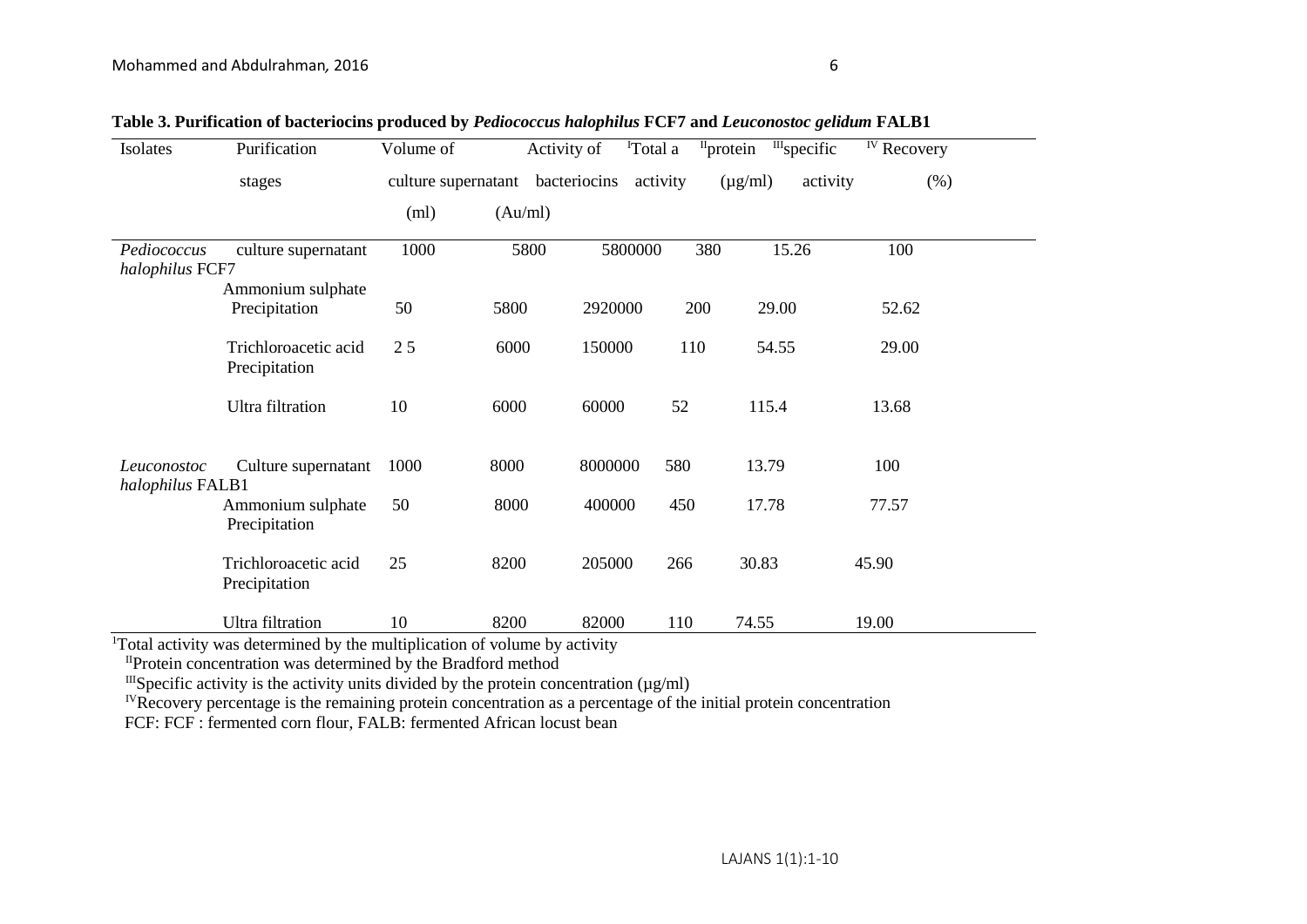| Isolates                        | Purification                          | Volume of                        | Activity of | <sup>I</sup> Total a |          | $III$ specific<br>$II$ protein | <sup>IV</sup> Recovery |
|---------------------------------|---------------------------------------|----------------------------------|-------------|----------------------|----------|--------------------------------|------------------------|
|                                 | stages                                | culture supernatant bacteriocins |             |                      | activity | activity<br>$(\mu g/ml)$       | (% )                   |
|                                 |                                       | (ml)                             | (Au/ml)     |                      |          |                                |                        |
| Pediococcus<br>halophilus FCF7  | culture supernatant                   | 1000                             | 5800        | 5800000              | 380      | 15.26                          | 100                    |
|                                 | Ammonium sulphate<br>Precipitation    | 50                               | 5800        | 2920000              | 200      | 29.00                          | 52.62                  |
|                                 | Trichloroacetic acid<br>Precipitation | 25                               | 6000        | 150000               | 110      | 54.55                          | 29.00                  |
|                                 | <b>Ultra</b> filtration               | 10                               | 6000        | 60000                | 52       | 115.4                          | 13.68                  |
| Leuconostoc<br>halophilus FALB1 | Culture supernatant                   | 1000                             | 8000        | 8000000              | 580      | 13.79                          | 100                    |
|                                 | Ammonium sulphate<br>Precipitation    | 50                               | 8000        | 400000               | 450      | 17.78                          | 77.57                  |
|                                 | Trichloroacetic acid<br>Precipitation | 25                               | 8200        | 205000               | 266      | 30.83                          | 45.90                  |
|                                 | Ultra filtration                      | 10                               | 8200        | 82000                | 110      | 74.55                          | 19.00                  |

|  |  |  |  | Table 3. Purification of bacteriocins produced by Pediococcus halophilus FCF7 and Leuconostoc gelidum FALB1 |
|--|--|--|--|-------------------------------------------------------------------------------------------------------------|
|--|--|--|--|-------------------------------------------------------------------------------------------------------------|

<sup>1</sup>Total activity was determined by the multiplication of volume by activity

IIProtein concentration was determined by the Bradford method

 $I\$ <sup>III</sup>Specific activity is the activity units divided by the protein concentration ( $\mu$ g/ml)

<sup>IV</sup>Recovery percentage is the remaining protein concentration as a percentage of the initial protein concentration

FCF: FCF: fermented corn flour, FALB: fermented African locust bean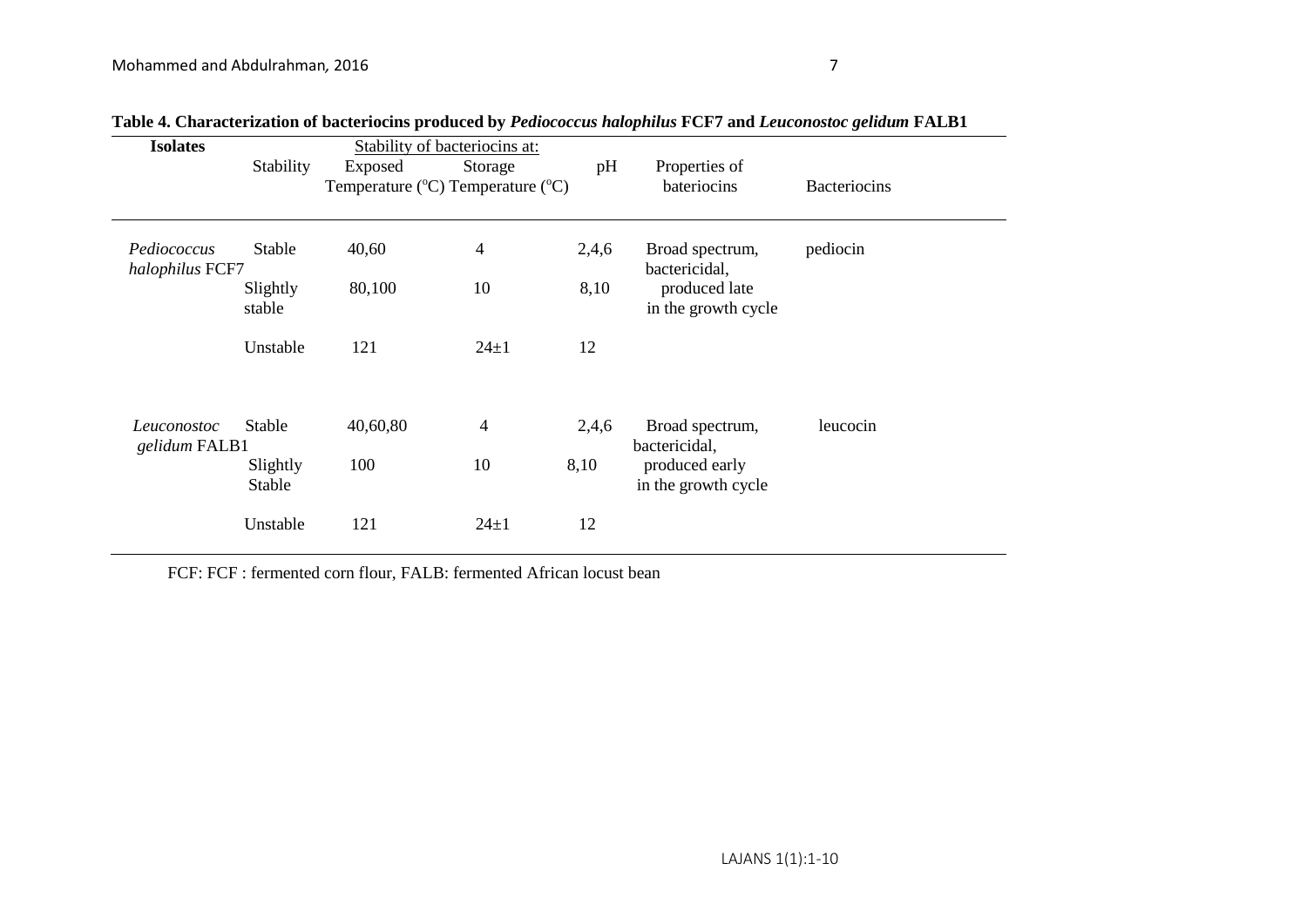| <b>Isolates</b>                |                    |          | Stability of bacteriocins at:     |       |                                       |                     |  |
|--------------------------------|--------------------|----------|-----------------------------------|-------|---------------------------------------|---------------------|--|
|                                | Stability          | Exposed  | Storage                           | pH    | Properties of                         |                     |  |
|                                |                    |          | Temperature (°C) Temperature (°C) |       | bateriocins                           | <b>Bacteriocins</b> |  |
|                                |                    |          |                                   |       |                                       |                     |  |
| Pediococcus<br>halophilus FCF7 | Stable             | 40,60    | 4                                 | 2,4,6 | Broad spectrum,<br>bactericidal,      | pediocin            |  |
|                                | Slightly<br>stable | 80,100   | 10                                | 8,10  | produced late<br>in the growth cycle  |                     |  |
|                                | Unstable           | 121      | $24 \pm 1$                        | 12    |                                       |                     |  |
| Leuconostoc<br>gelidum FALB1   | Stable             | 40,60,80 | 4                                 | 2,4,6 | Broad spectrum,<br>bactericidal,      | leucocin            |  |
|                                | Slightly<br>Stable | 100      | 10                                | 8,10  | produced early<br>in the growth cycle |                     |  |
|                                | Unstable           | 121      | $24 + 1$                          | 12    |                                       |                     |  |

**Table 4. Characterization of bacteriocins produced by** *Pediococcus halophilus* **FCF7 and** *Leuconostoc gelidum* **FALB1**

FCF: FCF : fermented corn flour, FALB: fermented African locust bean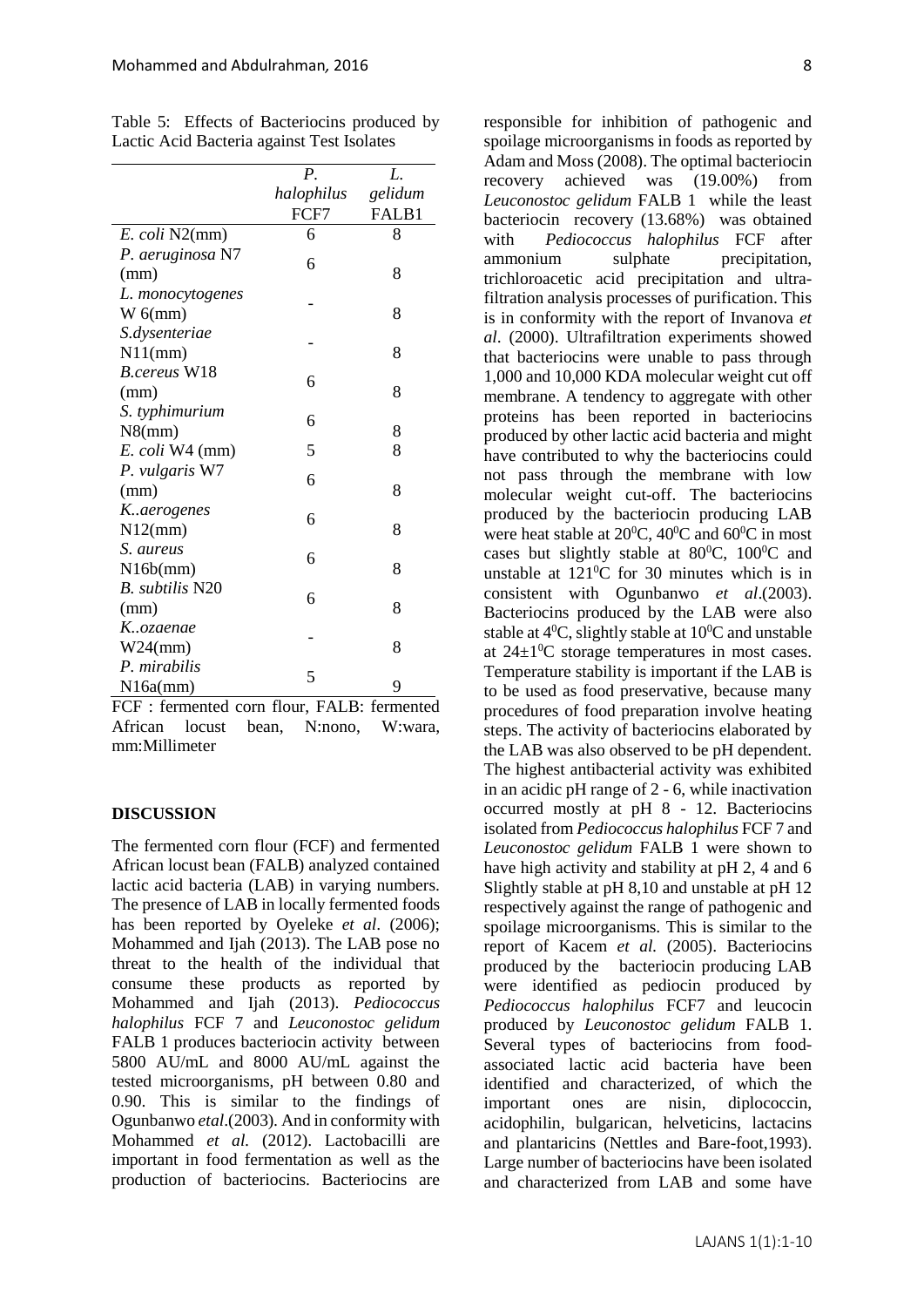|                        | Р.         | L.      |
|------------------------|------------|---------|
|                        | halophilus | gelidum |
|                        | FCF7       | FALB1   |
| E. coli N2(mm)         | 6          | 8       |
| P. aeruginosa N7       |            |         |
| (mm)                   | 6          | 8       |
| L. monocytogenes       |            |         |
| $W_6$ (mm)             |            | 8       |
| S.dysenteriae          |            |         |
| $N11$ (mm)             |            | 8       |
| <b>B.cereus W18</b>    |            |         |
| (mm)                   | 6          | 8       |
| S. typhimurium         |            |         |
| $N8$ (mm)              | 6          | 8       |
| E. coli W4 (mm)        | 5          | 8       |
| P. vulgaris W7         |            |         |
| (mm)                   | 6          | 8       |
| K.aerogenes            |            |         |
| N12(mm)                | 6          | 8       |
| S. aureus              |            |         |
| N16b(mm)               | 6          | 8       |
| <b>B.</b> subtilis N20 |            |         |
| (mm)                   | 6          | 8       |
| Kozaenae               |            |         |
| W24(mm)                |            | 8       |
| P. mirabilis           | 5          |         |
| N16a(mm)               |            | 9       |

Table 5: Effects of Bacteriocins produced by Lactic Acid Bacteria against Test Isolates

FCF : fermented corn flour, FALB: fermented African locust bean, N:nono, W:wara, mm:Millimeter

## **DISCUSSION**

The fermented corn flour (FCF) and fermented African locust bean (FALB) analyzed contained lactic acid bacteria (LAB) in varying numbers. The presence of LAB in locally fermented foods has been reported by Oyeleke *et al*. (2006); Mohammed and Ijah (2013). The LAB pose no threat to the health of the individual that consume these products as reported by Mohammed and Ijah (2013). *Pediococcus halophilus* FCF 7 and *Leuconostoc gelidum*  FALB 1 produces bacteriocin activity between 5800 AU/mL and 8000 AU/mL against the tested microorganisms, pH between 0.80 and 0.90. This is similar to the findings of Ogunbanwo *etal*.(2003)*.* And in conformity with Mohammed *et al.* (2012). Lactobacilli are important in food fermentation as well as the production of bacteriocins. Bacteriocins are responsible for inhibition of pathogenic and spoilage microorganisms in foods as reported by Adam and Moss (2008). The optimal bacteriocin recovery achieved was (19.00%) from *Leuconostoc gelidum* FALB 1 while the least bacteriocin recovery (13.68%) was obtained with *Pediococcus halophilus* FCF after ammonium sulphate precipitation, trichloroacetic acid precipitation and ultrafiltration analysis processes of purification. This is in conformity with the report of Invanova *et al*. (2000). Ultrafiltration experiments showed that bacteriocins were unable to pass through 1,000 and 10,000 KDA molecular weight cut off membrane. A tendency to aggregate with other proteins has been reported in bacteriocins produced by other lactic acid bacteria and might have contributed to why the bacteriocins could not pass through the membrane with low molecular weight cut-off. The bacteriocins produced by the bacteriocin producing LAB were heat stable at  $20^0C$ ,  $40^0C$  and  $60^0C$  in most cases but slightly stable at  $80^{\circ}$ C,  $100^{\circ}$ C and unstable at  $121\degree$ C for 30 minutes which is in consistent with Ogunbanwo *et al*.(2003). Bacteriocins produced by the LAB were also stable at  $4^{\circ}$ C, slightly stable at  $10^{\circ}$ C and unstable at  $24\pm1\textsuperscript{0}$ C storage temperatures in most cases. Temperature stability is important if the LAB is to be used as food preservative, because many procedures of food preparation involve heating steps. The activity of bacteriocins elaborated by the LAB was also observed to be pH dependent. The highest antibacterial activity was exhibited in an acidic pH range of 2 - 6, while inactivation occurred mostly at pH 8 - 12. Bacteriocins isolated from *Pediococcus halophilus* FCF 7 and *Leuconostoc gelidum* FALB 1 were shown to have high activity and stability at pH 2, 4 and 6 Slightly stable at pH 8,10 and unstable at pH 12 respectively against the range of pathogenic and spoilage microorganisms. This is similar to the report of Kacem *et al.* (2005). Bacteriocins produced by the bacteriocin producing LAB were identified as pediocin produced by *Pediococcus halophilus* FCF7 and leucocin produced by *Leuconostoc gelidum* FALB 1. Several types of bacteriocins from foodassociated lactic acid bacteria have been identified and characterized, of which the important ones are nisin, diplococcin, acidophilin, bulgarican, helveticins, lactacins and plantaricins (Nettles and Bare-foot,1993). Large number of bacteriocins have been isolated and characterized from LAB and some have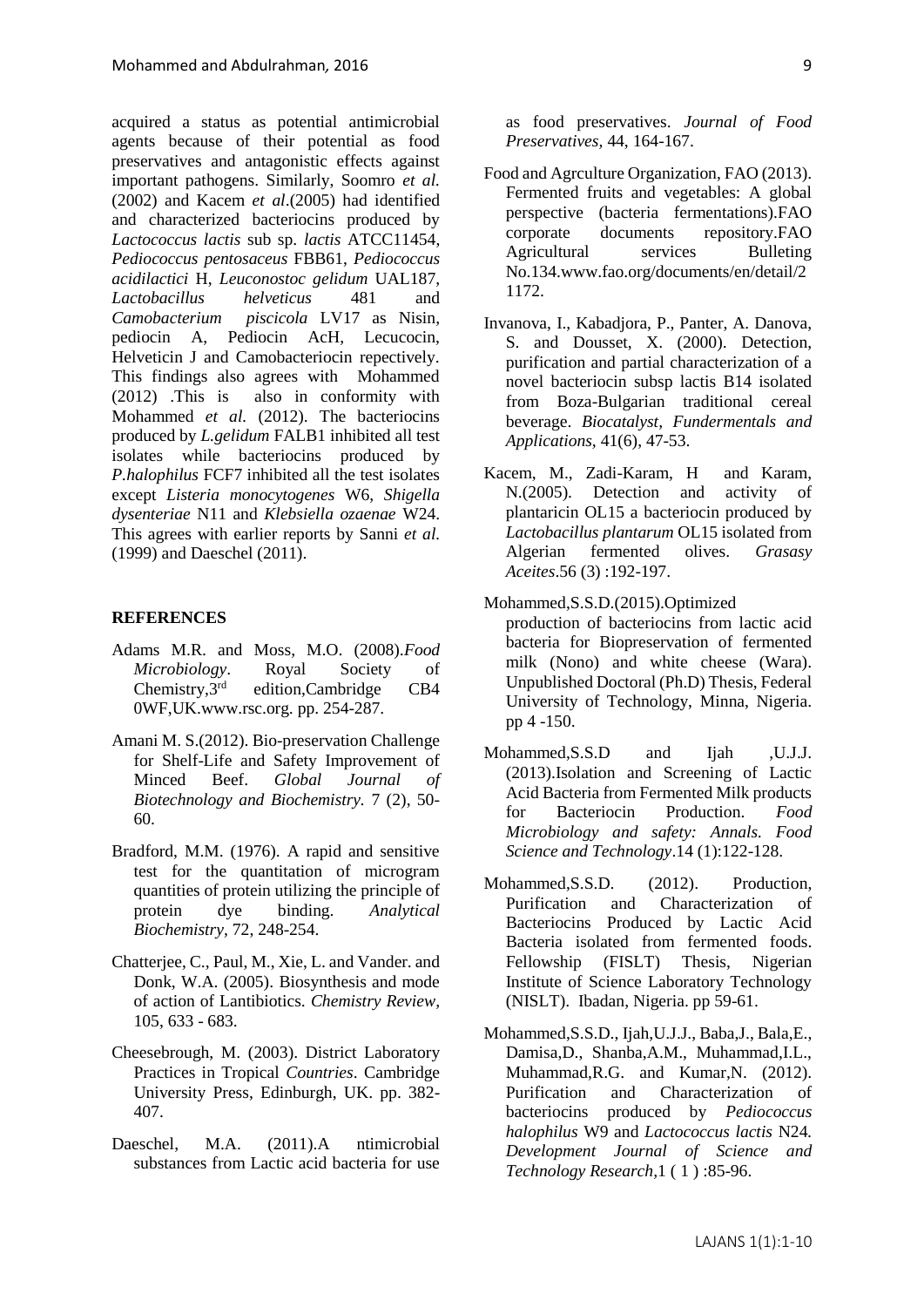acquired a status as potential antimicrobial agents because of their potential as food preservatives and antagonistic effects against important pathogens. Similarly, Soomro *et al.* (2002) and Kacem *et al*.(2005) had identified and characterized bacteriocins produced by *Lactococcus lactis* sub sp. *lactis* ATCC11454, *Pediococcus pentosaceus* FBB61, *Pediococcus acidilactici* H, *Leuconostoc gelidum* UAL187, *Lactobacillus helveticus* 481 and *Camobacterium piscicola* LV17 as Nisin, pediocin A, Pediocin AcH, Lecucocin, Helveticin J and Camobacteriocin repectively. This findings also agrees with Mohammed (2012) .This is also in conformity with Mohammed *et al.* (2012). The bacteriocins produced by *L.gelidum* FALB1 inhibited all test isolates while bacteriocins produced by *P.halophilus* FCF7 inhibited all the test isolates except *Listeria monocytogenes* W6, *Shigella dysenteriae* N11 and *Klebsiella ozaenae* W24. This agrees with earlier reports by Sanni *et al.* (1999) and Daeschel (2011).

#### **REFERENCES**

- Adams M.R. and Moss, M.O. (2008).*Food Microbiology*. Royal Society of Chemistry,3rd edition,Cambridge CB4 0WF,UK.www.rsc.org. pp. 254-287.
- Amani M. S.(2012). Bio-preservation Challenge for Shelf-Life and Safety Improvement of Minced Beef. *Global Journal of Biotechnology and Biochemistry.* 7 (2), 50- 60.
- Bradford, M.M. (1976). A rapid and sensitive test for the quantitation of microgram quantities of protein utilizing the principle of protein dye binding. *Analytical Biochemistry,* 72, 248-254.
- Chatterjee, C., Paul, M., Xie, L. and Vander. and Donk, W.A. (2005). Biosynthesis and mode of action of Lantibiotics. *Chemistry Review,* 105, 633 - 683.
- Cheesebrough, M. (2003). District Laboratory Practices in Tropical *Countries*. Cambridge University Press, Edinburgh, UK. pp. 382- 407.
- Daeschel, M.A. (2011).A ntimicrobial substances from Lactic acid bacteria for use

as food preservatives. *Journal of Food Preservatives,* 44, 164-167.

- Food and Agrculture Organization, FAO (2013). Fermented fruits and vegetables: A global perspective (bacteria fermentations).FAO corporate documents repository.FAO Agricultural services Bulleting No.134.www.fao.org/documents/en/detail/2 1172.
- Invanova, I., Kabadjora, P., Panter, A. Danova, S. and Dousset, X. (2000). Detection, purification and partial characterization of a novel bacteriocin subsp lactis B14 isolated from Boza-Bulgarian traditional cereal beverage. *Biocatalyst, Fundermentals and Applications,* 41(6), 47-53.
- Kacem, M., Zadi-Karam, H and Karam, N.(2005). Detection and activity of plantaricin OL15 a bacteriocin produced by *Lactobacillus plantarum* OL15 isolated from Algerian fermented olives. *Grasasy Aceites*.56 (3) :192-197.
- Mohammed,S.S.D.(2015).Optimized production of bacteriocins from lactic acid bacteria for Biopreservation of fermented milk (Nono) and white cheese (Wara). Unpublished Doctoral (Ph.D) Thesis, Federal University of Technology, Minna, Nigeria. pp 4 -150.
- Mohammed, S.S.D and Ijah , U.J.J. (2013).Isolation and Screening of Lactic Acid Bacteria from Fermented Milk products for Bacteriocin Production. *Food Microbiology and safety: Annals. Food Science and Technology*.14 (1):122-128.
- Mohammed, S.S.D. (2012). Production, Purification and Characterization of Bacteriocins Produced by Lactic Acid Bacteria isolated from fermented foods. Fellowship (FISLT) Thesis, Nigerian Institute of Science Laboratory Technology (NISLT). Ibadan, Nigeria. pp 59-61.
- Mohammed,S.S.D., Ijah,U.J.J., Baba,J., Bala,E., Damisa,D., Shanba,A.M., Muhammad,I.L., Muhammad,R.G. and Kumar,N. (2012). Purification and Characterization of bacteriocins produced by *Pediococcus halophilus* W9 and *Lactococcus lactis* N24*. Development Journal of Science and Technology Research,*1 ( 1 ) :85-96.